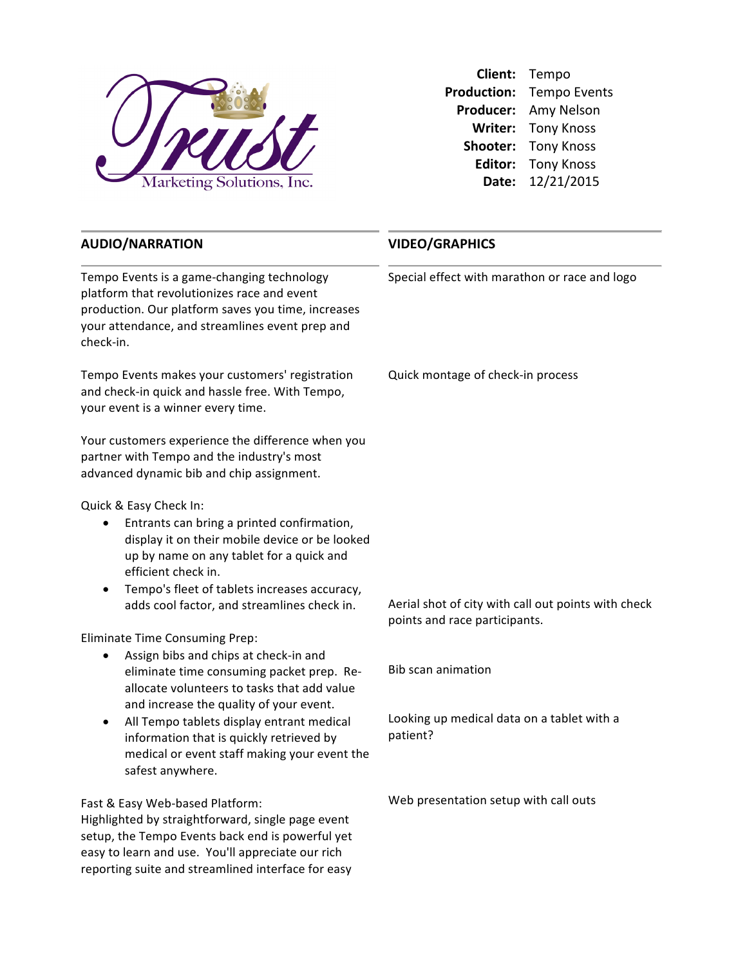

**Client:** Tempo Production: Tempo Events Producer: Amy Nelson **Writer:** Tony Knoss **Shooter:** Tony Knoss **Editor:** Tony Knoss **Date:** 12/21/2015

## **AUDIO/NARRATION**

Tempo Events is a game-changing technology platform that revolutionizes race and event production. Our platform saves you time, increases your attendance, and streamlines event prep and check-in.

Tempo Events makes your customers' registration and check-in quick and hassle free. With Tempo, your event is a winner every time.

Your customers experience the difference when you partner with Tempo and the industry's most advanced dynamic bib and chip assignment.

Quick & Easy Check In: 

- Entrants can bring a printed confirmation, display it on their mobile device or be looked up by name on any tablet for a quick and efficient check in.
- Tempo's fleet of tablets increases accuracy, adds cool factor, and streamlines check in.

Eliminate Time Consuming Prep:

- Assign bibs and chips at check-in and eliminate time consuming packet prep. Reallocate volunteers to tasks that add value and increase the quality of your event.
- All Tempo tablets display entrant medical information that is quickly retrieved by medical or event staff making your event the safest anywhere.

Fast & Easy Web-based Platform:

Highlighted by straightforward, single page event setup, the Tempo Events back end is powerful yet easy to learn and use. You'll appreciate our rich reporting suite and streamlined interface for easy

## **VIDEO/GRAPHICS**

Special effect with marathon or race and logo

Quick montage of check-in process

Aerial shot of city with call out points with check points and race participants.

Bib scan animation

Looking up medical data on a tablet with a patient?

Web presentation setup with call outs